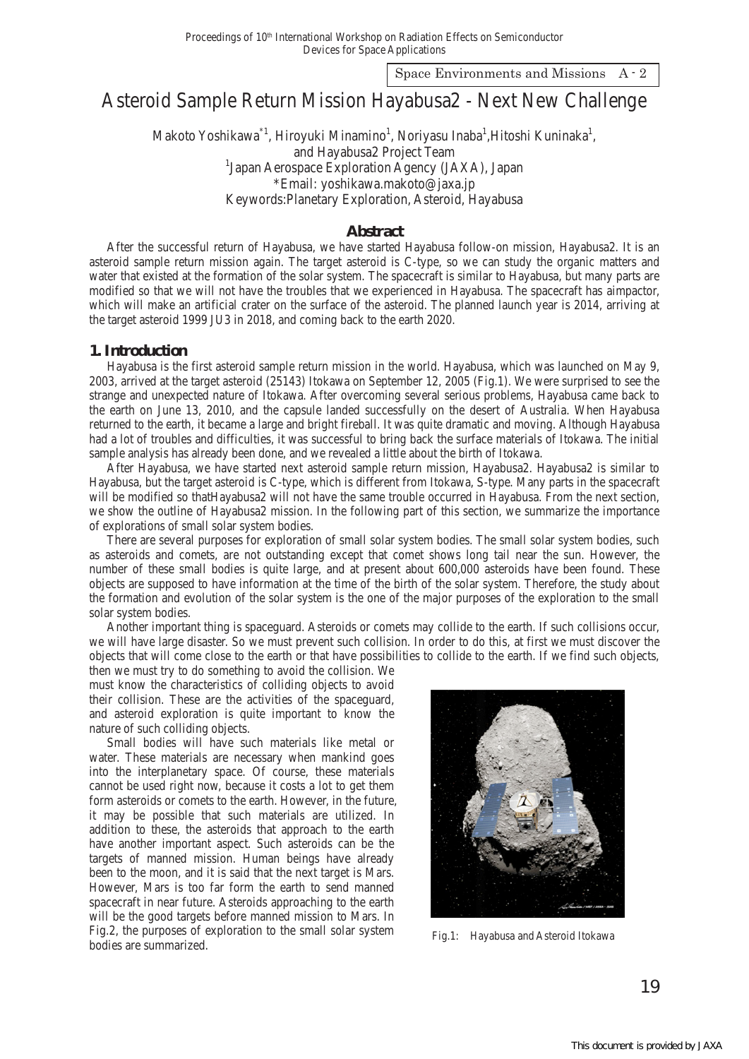Space Environments and Missions A - 2

# Asteroid Sample Return Mission Hayabusa2 - Next New Challenge

Makoto Yoshikawa<sup>\*1</sup>, Hiroyuki Minamino<sup>1</sup>, Noriyasu Inaba<sup>1</sup>, Hitoshi Kuninaka<sup>1</sup>, and Hayabusa2 Project Team <sup>1</sup>Japan Aerospace Exploration Agency (JAXA), Japan \*Email: yoshikawa.makoto@jaxa.jp Keywords:Planetary Exploration, Asteroid, Hayabusa

# **Abstract**

After the successful return of Hayabusa, we have started Hayabusa follow-on mission, Hayabusa2. It is an asteroid sample return mission again. The target asteroid is C-type, so we can study the organic matters and water that existed at the formation of the solar system. The spacecraft is similar to Hayabusa, but many parts are modified so that we will not have the troubles that we experienced in Hayabusa. The spacecraft has aimpactor, which will make an artificial crater on the surface of the asteroid. The planned launch year is 2014, arriving at the target asteroid 1999 JU3 in 2018, and coming back to the earth 2020.

## **1. Introduction**

Hayabusa is the first asteroid sample return mission in the world. Hayabusa, which was launched on May 9, 2003, arrived at the target asteroid (25143) Itokawa on September 12, 2005 (Fig.1). We were surprised to see the strange and unexpected nature of Itokawa. After overcoming several serious problems, Hayabusa came back to the earth on June 13, 2010, and the capsule landed successfully on the desert of Australia. When Hayabusa returned to the earth, it became a large and bright fireball. It was quite dramatic and moving. Although Hayabusa had a lot of troubles and difficulties, it was successful to bring back the surface materials of Itokawa. The initial sample analysis has already been done, and we revealed a little about the birth of Itokawa.

After Hayabusa, we have started next asteroid sample return mission, Hayabusa2. Hayabusa2 is similar to Hayabusa, but the target asteroid is C-type, which is different from Itokawa, S-type. Many parts in the spacecraft will be modified so thatHayabusa2 will not have the same trouble occurred in Hayabusa. From the next section, we show the outline of Hayabusa2 mission. In the following part of this section, we summarize the importance of explorations of small solar system bodies.

There are several purposes for exploration of small solar system bodies. The small solar system bodies, such as asteroids and comets, are not outstanding except that comet shows long tail near the sun. However, the number of these small bodies is quite large, and at present about 600,000 asteroids have been found. These objects are supposed to have information at the time of the birth of the solar system. Therefore, the study about the formation and evolution of the solar system is the one of the major purposes of the exploration to the small solar system bodies.

Another important thing is spaceguard. Asteroids or comets may collide to the earth. If such collisions occur, we will have large disaster. So we must prevent such collision. In order to do this, at first we must discover the objects that will come close to the earth or that have possibilities to collide to the earth. If we find such objects,

then we must try to do something to avoid the collision. We must know the characteristics of colliding objects to avoid their collision. These are the activities of the spaceguard, and asteroid exploration is quite important to know the nature of such colliding objects.

Small bodies will have such materials like metal or water. These materials are necessary when mankind goes into the interplanetary space. Of course, these materials cannot be used right now, because it costs a lot to get them form asteroids or comets to the earth. However, in the future, it may be possible that such materials are utilized. In addition to these, the asteroids that approach to the earth have another important aspect. Such asteroids can be the targets of manned mission. Human beings have already been to the moon, and it is said that the next target is Mars. However, Mars is too far form the earth to send manned spacecraft in near future. Asteroids approaching to the earth will be the good targets before manned mission to Mars. In Fig.2, the purposes of exploration to the small solar system Fig.2, the purposes of exploration to the small solar system<br>bodies are summarized.

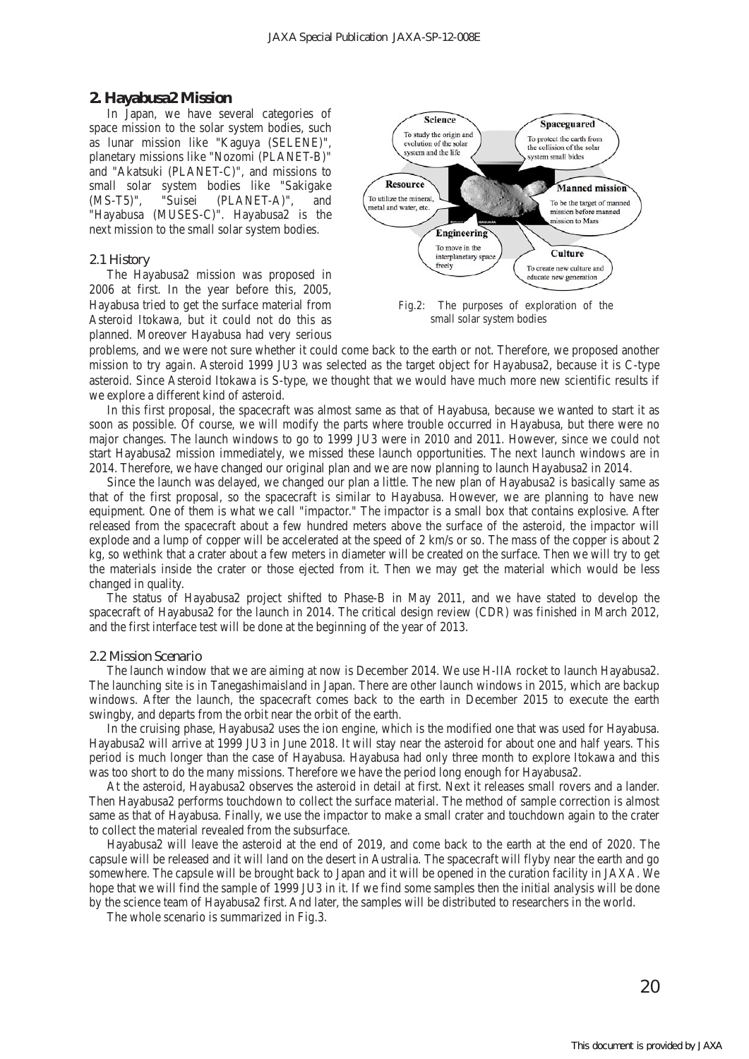## **2. Hayabusa2 Mission**

In Japan, we have several categories of space mission to the solar system bodies, such as lunar mission like "Kaguya (SELENE)", planetary missions like "Nozomi (PLANET-B)" and "Akatsuki (PLANET-C)", and missions to small solar system bodies like "Sakigake (MS-T5)", "Suisei (PLANET-A)", and "Hayabusa (MUSES-C)". Hayabusa2 is the next mission to the small solar system bodies.

#### *2.1 History*

The Hayabusa2 mission was proposed in 2006 at first. In the year before this, 2005, Hayabusa tried to get the surface material from Asteroid Itokawa, but it could not do this as planned. Moreover Hayabusa had very serious



small solar system bodies

problems, and we were not sure whether it could come back to the earth or not. Therefore, we proposed another mission to try again. Asteroid 1999 JU3 was selected as the target object for Hayabusa2, because it is C-type asteroid. Since Asteroid Itokawa is S-type, we thought that we would have much more new scientific results if we explore a different kind of asteroid.

In this first proposal, the spacecraft was almost same as that of Hayabusa, because we wanted to start it as soon as possible. Of course, we will modify the parts where trouble occurred in Hayabusa, but there were no major changes. The launch windows to go to 1999 JU3 were in 2010 and 2011. However, since we could not start Hayabusa2 mission immediately, we missed these launch opportunities. The next launch windows are in 2014. Therefore, we have changed our original plan and we are now planning to launch Hayabusa2 in 2014.

Since the launch was delayed, we changed our plan a little. The new plan of Hayabusa2 is basically same as that of the first proposal, so the spacecraft is similar to Hayabusa. However, we are planning to have new equipment. One of them is what we call "impactor." The impactor is a small box that contains explosive. After released from the spacecraft about a few hundred meters above the surface of the asteroid, the impactor will explode and a lump of copper will be accelerated at the speed of 2 km/s or so. The mass of the copper is about 2 kg, so wethink that a crater about a few meters in diameter will be created on the surface. Then we will try to get the materials inside the crater or those ejected from it. Then we may get the material which would be less changed in quality.

The status of Hayabusa2 project shifted to Phase-B in May 2011, and we have stated to develop the spacecraft of Hayabusa2 for the launch in 2014. The critical design review (CDR) was finished in March 2012, and the first interface test will be done at the beginning of the year of 2013.

### *2.2 Mission Scenario*

The launch window that we are aiming at now is December 2014. We use H-IIA rocket to launch Hayabusa2. The launching site is in Tanegashimaisland in Japan. There are other launch windows in 2015, which are backup windows. After the launch, the spacecraft comes back to the earth in December 2015 to execute the earth swingby, and departs from the orbit near the orbit of the earth.

In the cruising phase, Hayabusa2 uses the ion engine, which is the modified one that was used for Hayabusa. Hayabusa2 will arrive at 1999 JU3 in June 2018. It will stay near the asteroid for about one and half years. This period is much longer than the case of Hayabusa. Hayabusa had only three month to explore Itokawa and this was too short to do the many missions. Therefore we have the period long enough for Hayabusa2.

At the asteroid, Hayabusa2 observes the asteroid in detail at first. Next it releases small rovers and a lander. Then Hayabusa2 performs touchdown to collect the surface material. The method of sample correction is almost same as that of Hayabusa. Finally, we use the impactor to make a small crater and touchdown again to the crater to collect the material revealed from the subsurface.

Hayabusa2 will leave the asteroid at the end of 2019, and come back to the earth at the end of 2020. The capsule will be released and it will land on the desert in Australia. The spacecraft will flyby near the earth and go somewhere. The capsule will be brought back to Japan and it will be opened in the curation facility in JAXA. We hope that we will find the sample of 1999 JU3 in it. If we find some samples then the initial analysis will be done by the science team of Hayabusa2 first. And later, the samples will be distributed to researchers in the world.

The whole scenario is summarized in Fig.3.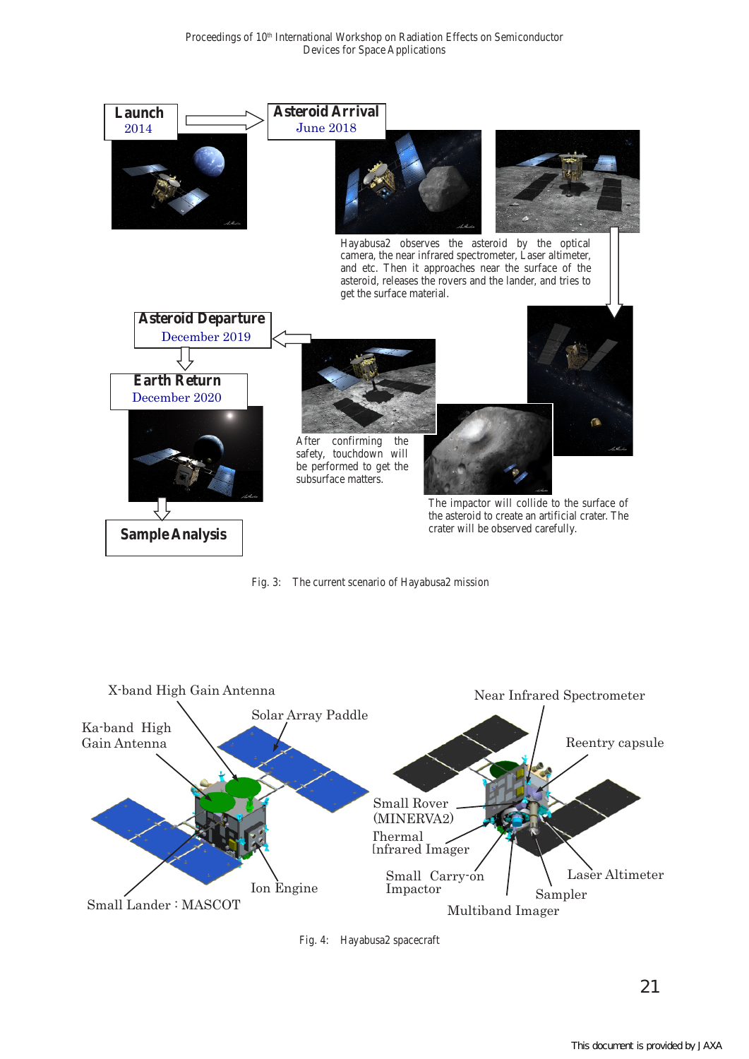

Fig. 3: The current scenario of Hayabusa2 mission



Fig. 4: Hayabusa2 spacecraft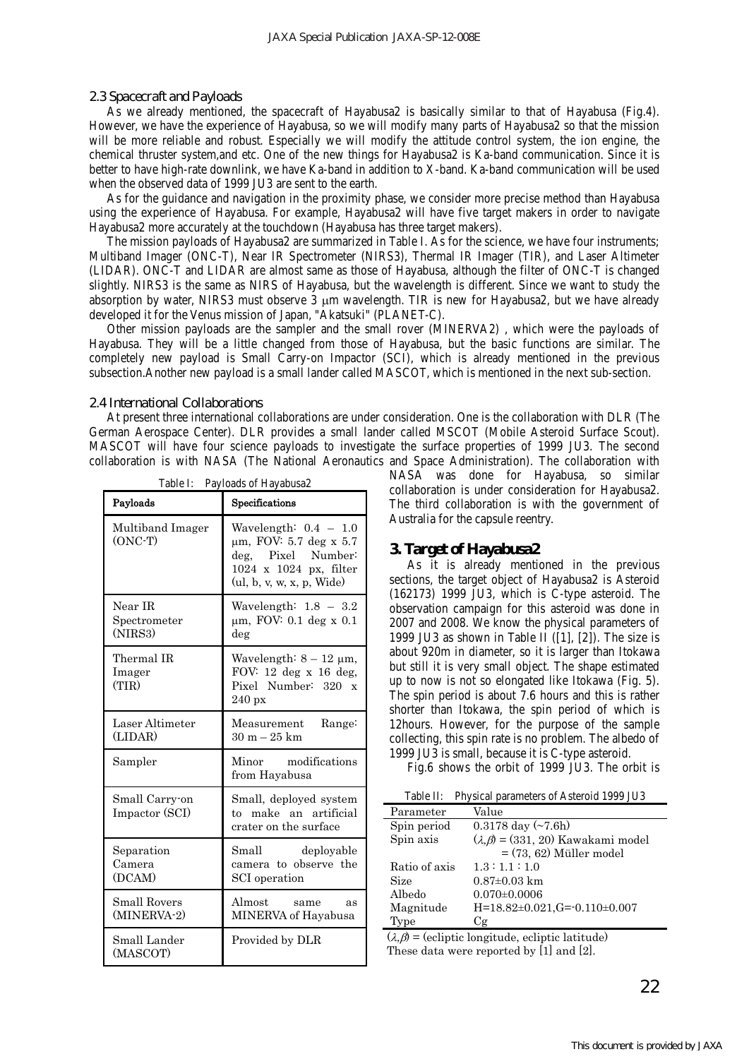#### *2.3 Spacecraft and Payloads*

As we already mentioned, the spacecraft of Hayabusa2 is basically similar to that of Hayabusa (Fig.4). However, we have the experience of Hayabusa, so we will modify many parts of Hayabusa2 so that the mission will be more reliable and robust. Especially we will modify the attitude control system, the ion engine, the chemical thruster system,and etc. One of the new things for Hayabusa2 is Ka-band communication. Since it is better to have high-rate downlink, we have Ka-band in addition to X-band. Ka-band communication will be used when the observed data of 1999 JU3 are sent to the earth.

As for the guidance and navigation in the proximity phase, we consider more precise method than Hayabusa using the experience of Hayabusa. For example, Hayabusa2 will have five target makers in order to navigate Hayabusa2 more accurately at the touchdown (Hayabusa has three target makers).

The mission payloads of Hayabusa2 are summarized in Table I. As for the science, we have four instruments; Multiband Imager (ONC-T), Near IR Spectrometer (NIRS3), Thermal IR Imager (TIR), and Laser Altimeter (LIDAR). ONC-T and LIDAR are almost same as those of Hayabusa, although the filter of ONC-T is changed slightly. NIRS3 is the same as NIRS of Hayabusa, but the wavelength is different. Since we want to study the absorption by water, NIRS3 must observe 3 um wavelength. TIR is new for Hayabusa2, but we have already developed it for the Venus mission of Japan, "Akatsuki" (PLANET-C).

Other mission payloads are the sampler and the small rover (MINERVA2) , which were the payloads of Hayabusa. They will be a little changed from those of Hayabusa, but the basic functions are similar. The completely new payload is Small Carry-on Impactor (SCI), which is already mentioned in the previous subsection.Another new payload is a small lander called MASCOT, which is mentioned in the next sub-section.

#### *2.4 International Collaborations*

At present three international collaborations are under consideration. One is the collaboration with DLR (The German Aerospace Center). DLR provides a small lander called MSCOT (Mobile Asteroid Surface Scout). MASCOT will have four science payloads to investigate the surface properties of 1999 JU3. The second collaboration is with NASA (The National Aeronautics and Space Administration). The collaboration with

| Table I:<br>Payloads of Hayabusa2  |                                                                                                                                        |  |
|------------------------------------|----------------------------------------------------------------------------------------------------------------------------------------|--|
| Payloads                           | Specifications                                                                                                                         |  |
| Multiband Imager<br>$(ONC-T)$      | Wavelength: $0.4 - 1.0$<br>$\mu$ m, FOV: 5.7 deg x 5.7<br>Pixel Number:<br>deg.<br>1024 x 1024 px, filter<br>(ul, b, v, w, x, p, Wide) |  |
| Near IR<br>Spectrometer<br>(NIRS3) | Wavelength: $1.8 - 3.2$<br>$\mu$ m, FOV: 0.1 deg x 0.1<br>deg                                                                          |  |
| Thermal IR<br>Imager<br>(TIR)      | Wavelength: $8-12 \mu m$ ,<br>FOV: $12 \text{ deg } x 16 \text{ deg}$ ,<br>Pixel Number: 320<br>$\mathbf x$<br>$240 \text{ px}$        |  |
| Laser Altimeter<br>(LIDAR)         | Measurement<br>Range:<br>$30 m - 25 km$                                                                                                |  |
| Sampler                            | modifications<br>Minor<br>from Hayabusa                                                                                                |  |
| Small Carry-on<br>Impactor (SCI)   | Small, deployed system<br>make an artificial<br>to<br>crater on the surface                                                            |  |
| Separation<br>Camera<br>(DCAM)     | Small<br>deployable<br>camera to observe the<br>SCI operation                                                                          |  |
| <b>Small Rovers</b><br>(MINERVA-2) | Almost<br>same<br>as<br>MINERVA of Hayabusa                                                                                            |  |
| Small Lander<br>(MASCOT)           | Provided by DLR                                                                                                                        |  |

NASA was done for Hayabusa, so similar collaboration is under consideration for Hayabusa2. The third collaboration is with the government of Australia for the capsule reentry.

#### **3. Target of Hayabusa2**

As it is already mentioned in the previous sections, the target object of Hayabusa2 is Asteroid (162173) 1999 JU3, which is C-type asteroid. The observation campaign for this asteroid was done in 2007 and 2008. We know the physical parameters of 1999 JU3 as shown in Table II  $([1], [2])$ . The size is about 920m in diameter, so it is larger than Itokawa but still it is very small object. The shape estimated up to now is not so elongated like Itokawa (Fig. 5). The spin period is about 7.6 hours and this is rather shorter than Itokawa, the spin period of which is 12hours. However, for the purpose of the sample collecting, this spin rate is no problem. The albedo of 1999 JU3 is small, because it is C-type asteroid.

Fig.6 shows the orbit of 1999 JU3. The orbit is

| Table II: | Physical parameters of Asteroid 1999 JU3 |  |
|-----------|------------------------------------------|--|
|           |                                          |  |

| Parameter     | Value                                         |
|---------------|-----------------------------------------------|
| Spin period   | $0.3178$ day $(\sim 7.6h)$                    |
| Spin axis     | $(\lambda, \beta) = (331, 20)$ Kawakami model |
|               | $= (73, 62)$ Müller model                     |
| Ratio of axis | 1.3:1.1:1.0                                   |
| <b>Size</b>   | $0.87 \pm 0.03$ km                            |
| Albedo        | $0.070 \pm 0.0006$                            |
| Magnitude     | $H=18.82\pm0.021$ , $G=0.110\pm0.007$         |
| <b>Type</b>   | Сg                                            |

 $(\lambda, \beta)$  = (ecliptic longitude, ecliptic latitude) These data were reported by [1] and [2].